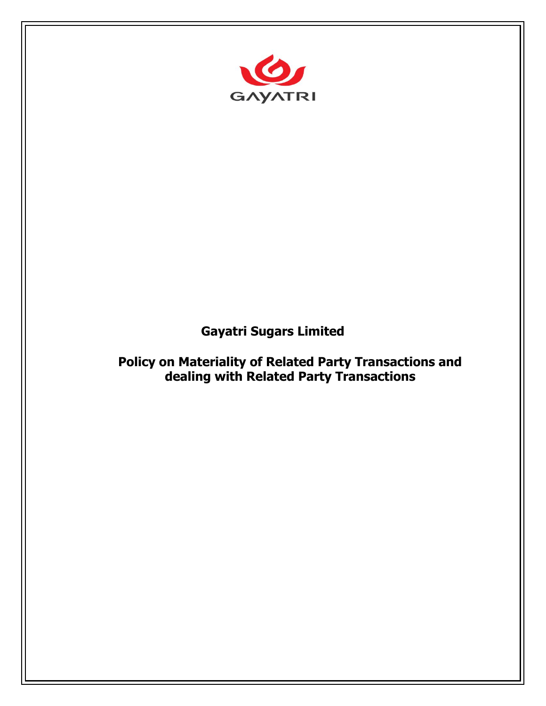

# **Gayatri Sugars Limited**

**Policy on Materiality of Related Party Transactions and dealing with Related Party Transactions**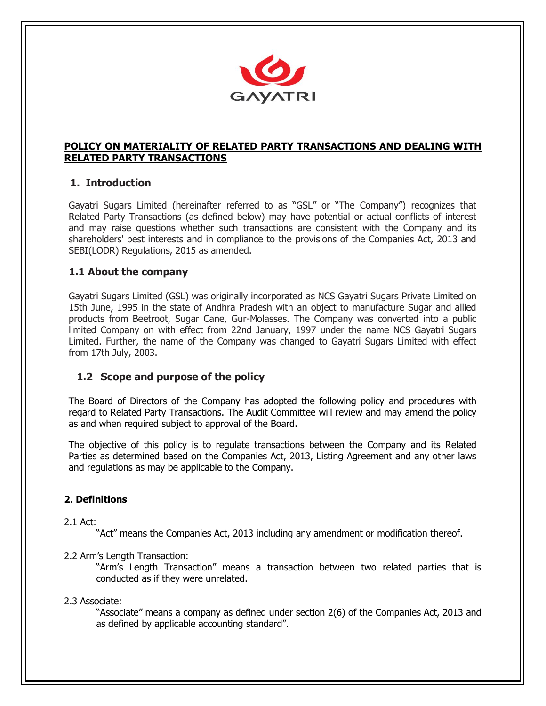

# **POLICY ON MATERIALITY OF RELATED PARTY TRANSACTIONS AND DEALING WITH RELATED PARTY TRANSACTIONS**

# **1. Introduction**

Gayatri Sugars Limited (hereinafter referred to as "GSL" or "The Company") recognizes that Related Party Transactions (as defined below) may have potential or actual conflicts of interest and may raise questions whether such transactions are consistent with the Company and its shareholders' best interests and in compliance to the provisions of the Companies Act, 2013 and SEBI(LODR) Regulations, 2015 as amended.

# **1.1 About the company**

Gayatri Sugars Limited (GSL) was originally incorporated as NCS Gayatri Sugars Private Limited on 15th June, 1995 in the state of Andhra Pradesh with an object to manufacture Sugar and allied products from Beetroot, Sugar Cane, Gur-Molasses. The Company was converted into a public limited Company on with effect from 22nd January, 1997 under the name NCS Gayatri Sugars Limited. Further, the name of the Company was changed to Gayatri Sugars Limited with effect from 17th July, 2003.

# **1.2 Scope and purpose of the policy**

The Board of Directors of the Company has adopted the following policy and procedures with regard to Related Party Transactions. The Audit Committee will review and may amend the policy as and when required subject to approval of the Board.

The objective of this policy is to regulate transactions between the Company and its Related Parties as determined based on the Companies Act, 2013, Listing Agreement and any other laws and regulations as may be applicable to the Company.

# **2. Definitions**

# 2.1 Act:

"Act" means the Companies Act, 2013 including any amendment or modification thereof.

# 2.2 Arm's Length Transaction:

"Arm's Length Transaction" means a transaction between two related parties that is conducted as if they were unrelated.

# 2.3 Associate:

"Associate" means a company as defined under section 2(6) of the Companies Act, 2013 and as defined by applicable accounting standard".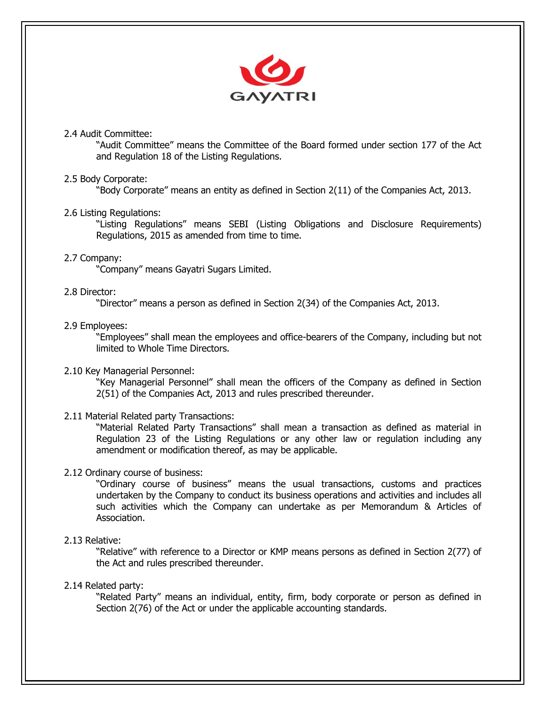

# 2.4 Audit Committee:

"Audit Committee" means the Committee of the Board formed under section 177 of the Act and Regulation 18 of the Listing Regulations.

# 2.5 Body Corporate:

"Body Corporate" means an entity as defined in Section 2(11) of the Companies Act, 2013.

# 2.6 Listing Regulations:

"Listing Regulations" means SEBI (Listing Obligations and Disclosure Requirements) Regulations, 2015 as amended from time to time.

#### 2.7 Company:

"Company" means Gayatri Sugars Limited.

#### 2.8 Director:

"Director" means a person as defined in Section 2(34) of the Companies Act, 2013.

# 2.9 Employees:

"Employees" shall mean the employees and office-bearers of the Company, including but not limited to Whole Time Directors.

#### 2.10 Key Managerial Personnel:

"Key Managerial Personnel" shall mean the officers of the Company as defined in Section 2(51) of the Companies Act, 2013 and rules prescribed thereunder.

#### 2.11 Material Related party Transactions:

"Material Related Party Transactions" shall mean a transaction as defined as material in Regulation 23 of the Listing Regulations or any other law or regulation including any amendment or modification thereof, as may be applicable.

#### 2.12 Ordinary course of business:

"Ordinary course of business" means the usual transactions, customs and practices undertaken by the Company to conduct its business operations and activities and includes all such activities which the Company can undertake as per Memorandum & Articles of Association.

#### 2.13 Relative:

"Relative" with reference to a Director or KMP means persons as defined in Section 2(77) of the Act and rules prescribed thereunder.

#### 2.14 Related party:

"Related Party" means an individual, entity, firm, body corporate or person as defined in Section 2(76) of the Act or under the applicable accounting standards.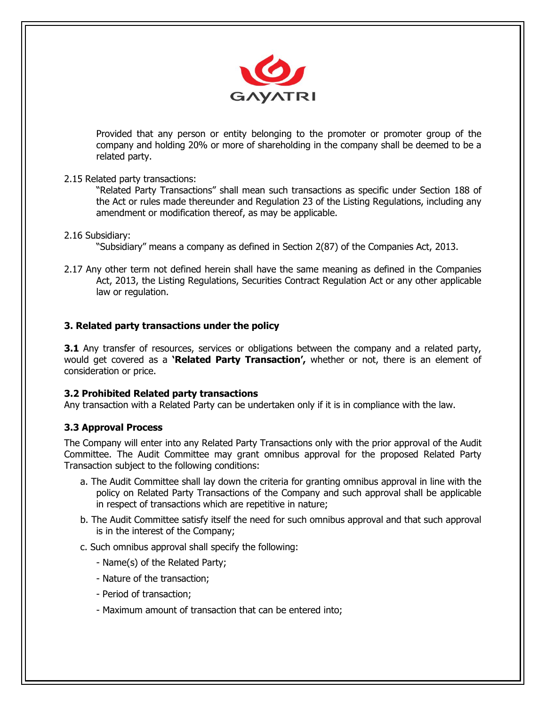

Provided that any person or entity belonging to the promoter or promoter group of the company and holding 20% or more of shareholding in the company shall be deemed to be a related party.

# 2.15 Related party transactions:

"Related Party Transactions" shall mean such transactions as specific under Section 188 of the Act or rules made thereunder and Regulation 23 of the Listing Regulations, including any amendment or modification thereof, as may be applicable.

# 2.16 Subsidiary:

"Subsidiary" means a company as defined in Section 2(87) of the Companies Act, 2013.

2.17 Any other term not defined herein shall have the same meaning as defined in the Companies Act, 2013, the Listing Regulations, Securities Contract Regulation Act or any other applicable law or regulation.

# **3. Related party transactions under the policy**

**3.1** Any transfer of resources, services or obligations between the company and a related party, would get covered as a **'Related Party Transaction',** whether or not, there is an element of consideration or price.

# **3.2 Prohibited Related party transactions**

Any transaction with a Related Party can be undertaken only if it is in compliance with the law.

# **3.3 Approval Process**

The Company will enter into any Related Party Transactions only with the prior approval of the Audit Committee. The Audit Committee may grant omnibus approval for the proposed Related Party Transaction subject to the following conditions:

- a. The Audit Committee shall lay down the criteria for granting omnibus approval in line with the policy on Related Party Transactions of the Company and such approval shall be applicable in respect of transactions which are repetitive in nature;
- b. The Audit Committee satisfy itself the need for such omnibus approval and that such approval is in the interest of the Company;

# c. Such omnibus approval shall specify the following:

- Name(s) of the Related Party;
- Nature of the transaction;
- Period of transaction;
- Maximum amount of transaction that can be entered into;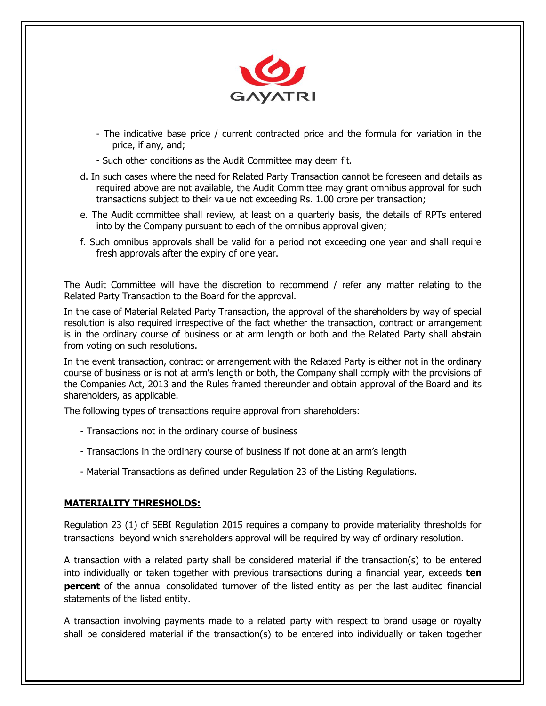

- The indicative base price / current contracted price and the formula for variation in the price, if any, and;
- Such other conditions as the Audit Committee may deem fit.
- d. In such cases where the need for Related Party Transaction cannot be foreseen and details as required above are not available, the Audit Committee may grant omnibus approval for such transactions subject to their value not exceeding Rs. 1.00 crore per transaction;
- e. The Audit committee shall review, at least on a quarterly basis, the details of RPTs entered into by the Company pursuant to each of the omnibus approval given;
- f. Such omnibus approvals shall be valid for a period not exceeding one year and shall require fresh approvals after the expiry of one year.

The Audit Committee will have the discretion to recommend / refer any matter relating to the Related Party Transaction to the Board for the approval.

In the case of Material Related Party Transaction, the approval of the shareholders by way of special resolution is also required irrespective of the fact whether the transaction, contract or arrangement is in the ordinary course of business or at arm length or both and the Related Party shall abstain from voting on such resolutions.

In the event transaction, contract or arrangement with the Related Party is either not in the ordinary course of business or is not at arm's length or both, the Company shall comply with the provisions of the Companies Act, 2013 and the Rules framed thereunder and obtain approval of the Board and its shareholders, as applicable.

The following types of transactions require approval from shareholders:

- Transactions not in the ordinary course of business
- Transactions in the ordinary course of business if not done at an arm's length
- Material Transactions as defined under Regulation 23 of the Listing Regulations.

#### **MATERIALITY THRESHOLDS:**

Regulation 23 (1) of SEBI Regulation 2015 requires a company to provide materiality thresholds for transactions beyond which shareholders approval will be required by way of ordinary resolution.

A transaction with a related party shall be considered material if the transaction(s) to be entered into individually or taken together with previous transactions during a financial year, exceeds **ten percent** of the annual consolidated turnover of the listed entity as per the last audited financial statements of the listed entity.

A transaction involving payments made to a related party with respect to brand usage or royalty shall be considered material if the transaction(s) to be entered into individually or taken together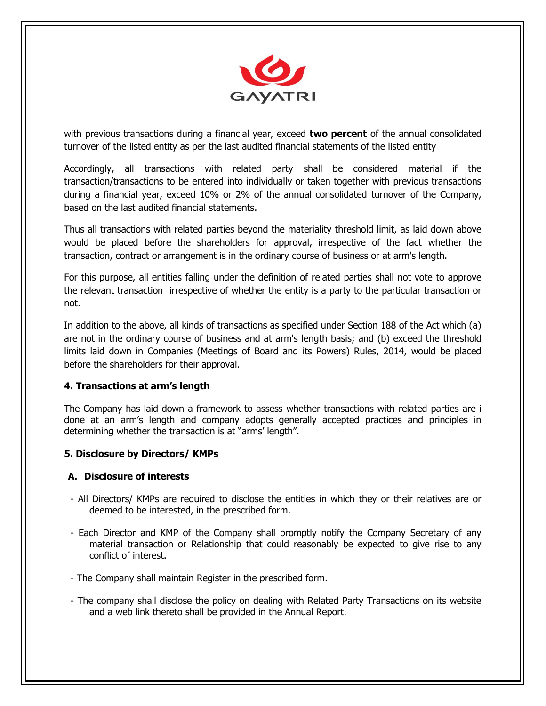

with previous transactions during a financial year, exceed **two percent** of the annual consolidated turnover of the listed entity as per the last audited financial statements of the listed entity

Accordingly, all transactions with related party shall be considered material if the transaction/transactions to be entered into individually or taken together with previous transactions during a financial year, exceed 10% or 2% of the annual consolidated turnover of the Company, based on the last audited financial statements.

Thus all transactions with related parties beyond the materiality threshold limit, as laid down above would be placed before the shareholders for approval, irrespective of the fact whether the transaction, contract or arrangement is in the ordinary course of business or at arm's length.

For this purpose, all entities falling under the definition of related parties shall not vote to approve the relevant transaction irrespective of whether the entity is a party to the particular transaction or not.

In addition to the above, all kinds of transactions as specified under Section 188 of the Act which (a) are not in the ordinary course of business and at arm's length basis; and (b) exceed the threshold limits laid down in Companies (Meetings of Board and its Powers) Rules, 2014, would be placed before the shareholders for their approval.

# **4. Transactions at arm's length**

The Company has laid down a framework to assess whether transactions with related parties are i done at an arm's length and company adopts generally accepted practices and principles in determining whether the transaction is at "arms' length".

# **5. Disclosure by Directors/ KMPs**

# **A. Disclosure of interests**

- All Directors/ KMPs are required to disclose the entities in which they or their relatives are or deemed to be interested, in the prescribed form.
- Each Director and KMP of the Company shall promptly notify the Company Secretary of any material transaction or Relationship that could reasonably be expected to give rise to any conflict of interest.
- The Company shall maintain Register in the prescribed form.
- The company shall disclose the policy on dealing with Related Party Transactions on its website and a web link thereto shall be provided in the Annual Report.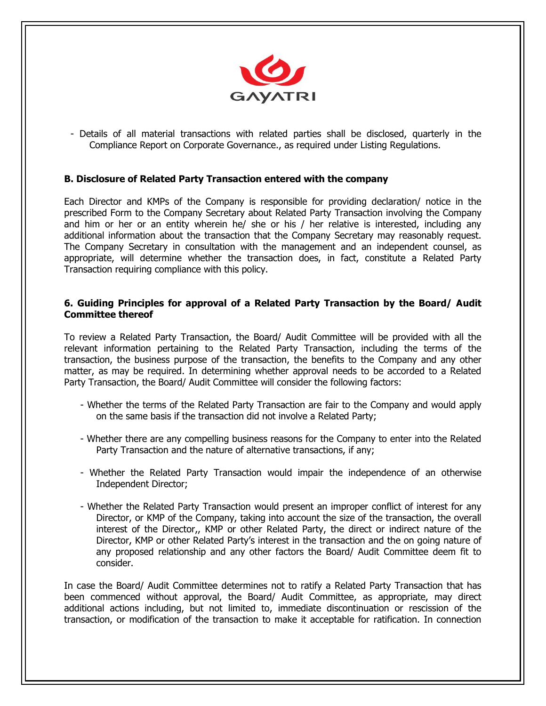

- Details of all material transactions with related parties shall be disclosed, quarterly in the Compliance Report on Corporate Governance., as required under Listing Regulations.

# **B. Disclosure of Related Party Transaction entered with the company**

Each Director and KMPs of the Company is responsible for providing declaration/ notice in the prescribed Form to the Company Secretary about Related Party Transaction involving the Company and him or her or an entity wherein he/ she or his / her relative is interested, including any additional information about the transaction that the Company Secretary may reasonably request. The Company Secretary in consultation with the management and an independent counsel, as appropriate, will determine whether the transaction does, in fact, constitute a Related Party Transaction requiring compliance with this policy.

#### **6. Guiding Principles for approval of a Related Party Transaction by the Board/ Audit Committee thereof**

To review a Related Party Transaction, the Board/ Audit Committee will be provided with all the relevant information pertaining to the Related Party Transaction, including the terms of the transaction, the business purpose of the transaction, the benefits to the Company and any other matter, as may be required. In determining whether approval needs to be accorded to a Related Party Transaction, the Board/ Audit Committee will consider the following factors:

- Whether the terms of the Related Party Transaction are fair to the Company and would apply on the same basis if the transaction did not involve a Related Party;
- Whether there are any compelling business reasons for the Company to enter into the Related Party Transaction and the nature of alternative transactions, if any;
- Whether the Related Party Transaction would impair the independence of an otherwise Independent Director;
- Whether the Related Party Transaction would present an improper conflict of interest for any Director, or KMP of the Company, taking into account the size of the transaction, the overall interest of the Director,, KMP or other Related Party, the direct or indirect nature of the Director, KMP or other Related Party's interest in the transaction and the on going nature of any proposed relationship and any other factors the Board/ Audit Committee deem fit to consider.

In case the Board/ Audit Committee determines not to ratify a Related Party Transaction that has been commenced without approval, the Board/ Audit Committee, as appropriate, may direct additional actions including, but not limited to, immediate discontinuation or rescission of the transaction, or modification of the transaction to make it acceptable for ratification. In connection